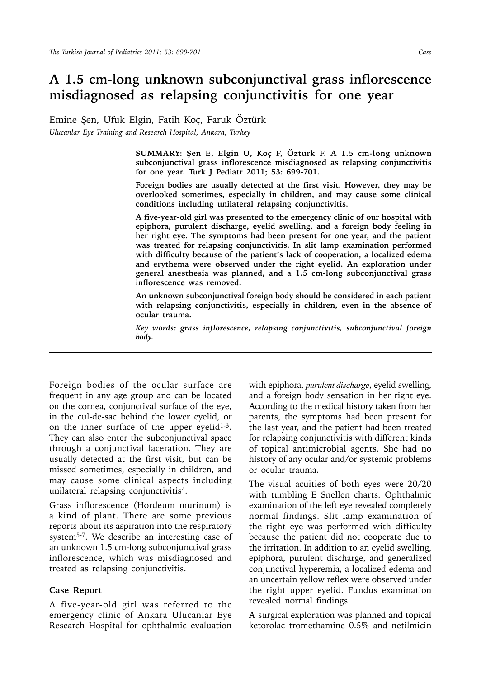## **A 1.5 cm-long unknown subconjunctival grass inflorescence misdiagnosed as relapsing conjunctivitis for one year**

Emine Şen, Ufuk Elgin, Fatih Koç, Faruk Öztürk *Ulucanlar Eye Training and Research Hospital, Ankara, Turkey* 

> **SUMMARY: Şen E, Elgin U, Koç F, Öztürk F. A 1.5 cm-long unknown subconjunctival grass inflorescence misdiagnosed as relapsing conjunctivitis for one year. Turk J Pediatr 2011; 53: 699-701.**

> **Foreign bodies are usually detected at the first visit. However, they may be overlooked sometimes, especially in children, and may cause some clinical conditions including unilateral relapsing conjunctivitis.**

> **A five-year-old girl was presented to the emergency clinic of our hospital with epiphora, purulent discharge, eyelid swelling, and a foreign body feeling in her right eye. The symptoms had been present for one year, and the patient was treated for relapsing conjunctivitis. In slit lamp examination performed with difficulty because of the patient's lack of cooperation, a localized edema and erythema were observed under the right eyelid. An exploration under general anesthesia was planned, and a 1.5 cm-long subconjunctival grass inflorescence was removed.**

> **An unknown subconjunctival foreign body should be considered in each patient with relapsing conjunctivitis, especially in children, even in the absence of ocular trauma.**

> *Key words: grass inflorescence, relapsing conjunctivitis, subconjunctival foreign body.*

Foreign bodies of the ocular surface are frequent in any age group and can be located on the cornea, conjunctival surface of the eye, in the cul-de-sac behind the lower eyelid, or on the inner surface of the upper eyelid<sup>1-3</sup>. They can also enter the subconjunctival space through a conjunctival laceration. They are usually detected at the first visit, but can be missed sometimes, especially in children, and may cause some clinical aspects including unilateral relapsing conjunctivitis4.

Grass inflorescence (Hordeum murinum) is a kind of plant. There are some previous reports about its aspiration into the respiratory system5-7. We describe an interesting case of an unknown 1.5 cm-long subconjunctival grass inflorescence, which was misdiagnosed and treated as relapsing conjunctivitis.

## **Case Report**

A five-year-old girl was referred to the emergency clinic of Ankara Ulucanlar Eye Research Hospital for ophthalmic evaluation with epiphora, *purulent discharge*, eyelid swelling, and a foreign body sensation in her right eye. According to the medical history taken from her parents, the symptoms had been present for the last year, and the patient had been treated for relapsing conjunctivitis with different kinds of topical antimicrobial agents. She had no history of any ocular and/or systemic problems or ocular trauma.

The visual acuities of both eyes were 20/20 with tumbling E Snellen charts. Ophthalmic examination of the left eye revealed completely normal findings. Slit lamp examination of the right eye was performed with difficulty because the patient did not cooperate due to the irritation. In addition to an eyelid swelling, epiphora, purulent discharge, and generalized conjunctival hyperemia, a localized edema and an uncertain yellow reflex were observed under the right upper eyelid. Fundus examination revealed normal findings.

A surgical exploration was planned and topical ketorolac tromethamine 0.5% and netilmicin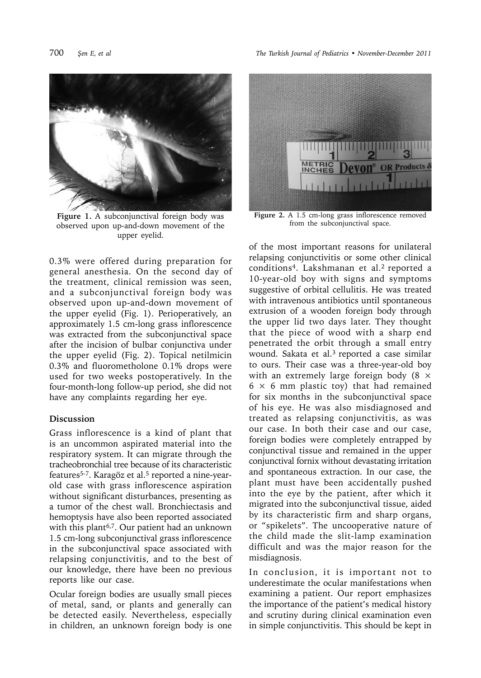

**Figure 1.** A subconjunctival foreign body was observed upon up-and-down movement of the upper eyelid.

0.3% were offered during preparation for general anesthesia. On the second day of the treatment, clinical remission was seen, and a subconjunctival foreign body was observed upon up-and-down movement of the upper eyelid (Fig. 1). Perioperatively, an approximately 1.5 cm-long grass inflorescence was extracted from the subconjunctival space after the incision of bulbar conjunctiva under the upper eyelid (Fig. 2). Topical netilmicin 0.3% and fluorometholone 0.1% drops were used for two weeks postoperatively. In the four-month-long follow-up period, she did not have any complaints regarding her eye.

## **Discussion**

Grass inflorescence is a kind of plant that is an uncommon aspirated material into the respiratory system. It can migrate through the tracheobronchial tree because of its characteristic features5-7. Karagöz et al.5 reported a nine-yearold case with grass inflorescence aspiration without significant disturbances, presenting as a tumor of the chest wall. Bronchiectasis and hemoptysis have also been reported associated with this plant<sup>6,7</sup>. Our patient had an unknown 1.5 cm-long subconjunctival grass inflorescence in the subconjunctival space associated with relapsing conjunctivitis, and to the best of our knowledge, there have been no previous reports like our case.

Ocular foreign bodies are usually small pieces of metal, sand, or plants and generally can be detected easily. Nevertheless, especially in children, an unknown foreign body is one



**Figure 2.** A 1.5 cm-long grass inflorescence removed from the subconjunctival space.

of the most important reasons for unilateral relapsing conjunctivitis or some other clinical conditions4. Lakshmanan et al.2 reported a 10-year-old boy with signs and symptoms suggestive of orbital cellulitis. He was treated with intravenous antibiotics until spontaneous extrusion of a wooden foreign body through the upper lid two days later. They thought that the piece of wood with a sharp end penetrated the orbit through a small entry wound. Sakata et al.3 reported a case similar to ours. Their case was a three-year-old boy with an extremely large foreign body  $(8 \times$  $6 \times 6$  mm plastic toy) that had remained for six months in the subconjunctival space of his eye. He was also misdiagnosed and treated as relapsing conjunctivitis, as was our case. In both their case and our case, foreign bodies were completely entrapped by conjunctival tissue and remained in the upper conjunctival fornix without devastating irritation and spontaneous extraction. In our case, the plant must have been accidentally pushed into the eye by the patient, after which it migrated into the subconjunctival tissue, aided by its characteristic firm and sharp organs, or "spikelets". The uncooperative nature of the child made the slit-lamp examination difficult and was the major reason for the misdiagnosis.

In conclusion, it is important not to underestimate the ocular manifestations when examining a patient. Our report emphasizes the importance of the patient's medical history and scrutiny during clinical examination even in simple conjunctivitis. This should be kept in